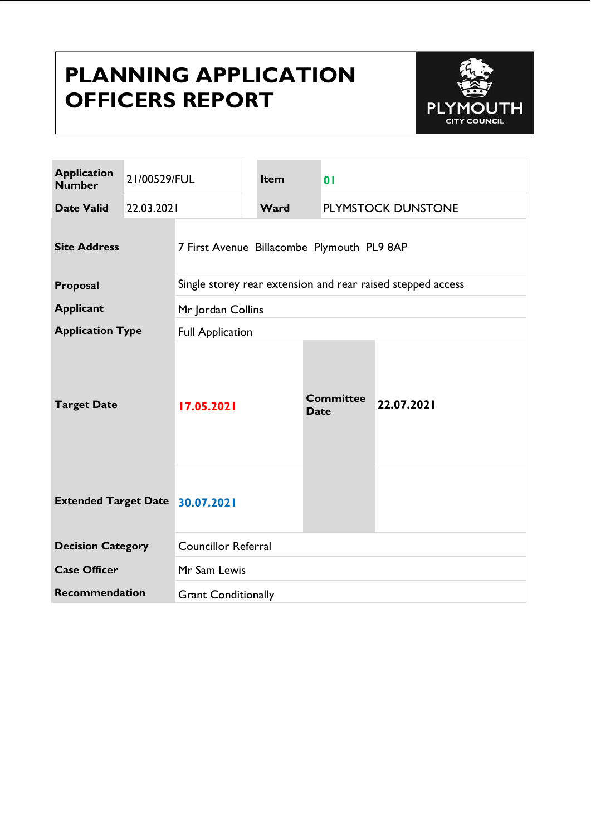# **PLANNING APPLICATION OFFICERS REPORT**



| <b>Application</b><br><b>Number</b>    | 21/00529/FUL |                                                             | Item | 0 <sub>1</sub>                  |                    |  |
|----------------------------------------|--------------|-------------------------------------------------------------|------|---------------------------------|--------------------|--|
| <b>Date Valid</b>                      | 22.03.2021   |                                                             | Ward |                                 | PLYMSTOCK DUNSTONE |  |
| <b>Site Address</b>                    |              | 7 First Avenue Billacombe Plymouth PL9 8AP                  |      |                                 |                    |  |
| Proposal                               |              | Single storey rear extension and rear raised stepped access |      |                                 |                    |  |
| <b>Applicant</b>                       |              | Mr Jordan Collins                                           |      |                                 |                    |  |
| <b>Application Type</b>                |              | <b>Full Application</b>                                     |      |                                 |                    |  |
| <b>Target Date</b>                     |              | 17.05.2021                                                  |      | <b>Committee</b><br><b>Date</b> | 22.07.2021         |  |
| <b>Extended Target Date 30.07.2021</b> |              |                                                             |      |                                 |                    |  |
| <b>Decision Category</b>               |              | <b>Councillor Referral</b>                                  |      |                                 |                    |  |
| <b>Case Officer</b>                    |              | Mr Sam Lewis                                                |      |                                 |                    |  |
| <b>Recommendation</b>                  |              | <b>Grant Conditionally</b>                                  |      |                                 |                    |  |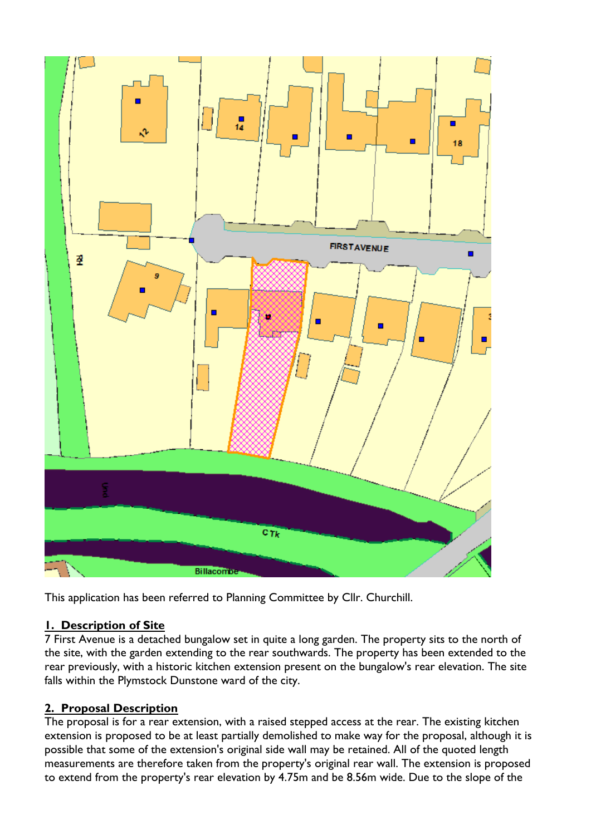

This application has been referred to Planning Committee by Cllr. Churchill.

## **1. Description of Site**

7 First Avenue is a detached bungalow set in quite a long garden. The property sits to the north of the site, with the garden extending to the rear southwards. The property has been extended to the rear previously, with a historic kitchen extension present on the bungalow's rear elevation. The site falls within the Plymstock Dunstone ward of the city.

#### **2. Proposal Description**

The proposal is for a rear extension, with a raised stepped access at the rear. The existing kitchen extension is proposed to be at least partially demolished to make way for the proposal, although it is possible that some of the extension's original side wall may be retained. All of the quoted length measurements are therefore taken from the property's original rear wall. The extension is proposed to extend from the property's rear elevation by 4.75m and be 8.56m wide. Due to the slope of the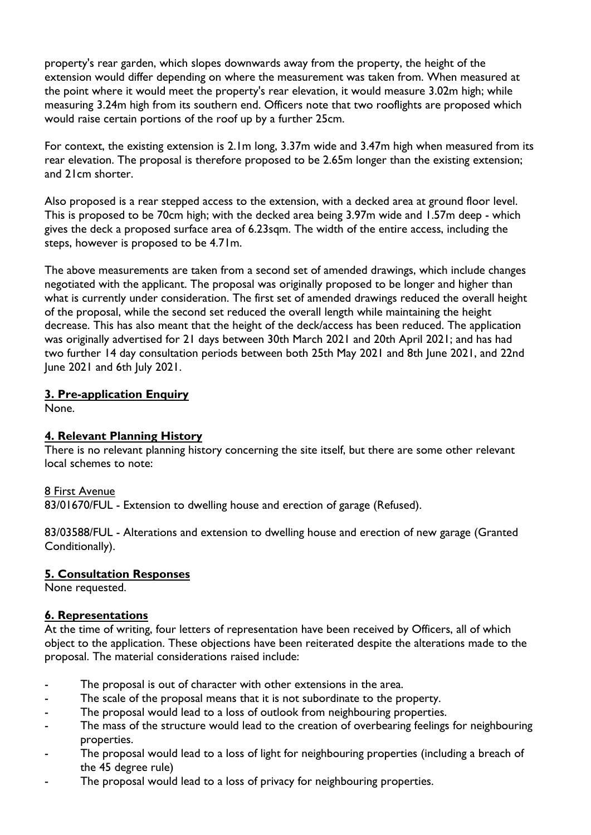property's rear garden, which slopes downwards away from the property, the height of the extension would differ depending on where the measurement was taken from. When measured at the point where it would meet the property's rear elevation, it would measure 3.02m high; while measuring 3.24m high from its southern end. Officers note that two rooflights are proposed which would raise certain portions of the roof up by a further 25cm.

For context, the existing extension is 2.1m long, 3.37m wide and 3.47m high when measured from its rear elevation. The proposal is therefore proposed to be 2.65m longer than the existing extension; and 21cm shorter.

Also proposed is a rear stepped access to the extension, with a decked area at ground floor level. This is proposed to be 70cm high; with the decked area being 3.97m wide and 1.57m deep - which gives the deck a proposed surface area of 6.23sqm. The width of the entire access, including the steps, however is proposed to be 4.71m.

The above measurements are taken from a second set of amended drawings, which include changes negotiated with the applicant. The proposal was originally proposed to be longer and higher than what is currently under consideration. The first set of amended drawings reduced the overall height of the proposal, while the second set reduced the overall length while maintaining the height decrease. This has also meant that the height of the deck/access has been reduced. The application was originally advertised for 21 days between 30th March 2021 and 20th April 2021; and has had two further 14 day consultation periods between both 25th May 2021 and 8th June 2021, and 22nd June 2021 and 6th July 2021.

## **3. Pre-application Enquiry**

None.

## **4. Relevant Planning History**

There is no relevant planning history concerning the site itself, but there are some other relevant local schemes to note:

#### 8 First Avenue

83/01670/FUL - Extension to dwelling house and erection of garage (Refused).

83/03588/FUL - Alterations and extension to dwelling house and erection of new garage (Granted Conditionally).

#### **5. Consultation Responses**

None requested.

#### **6. Representations**

At the time of writing, four letters of representation have been received by Officers, all of which object to the application. These objections have been reiterated despite the alterations made to the proposal. The material considerations raised include:

- The proposal is out of character with other extensions in the area.
- The scale of the proposal means that it is not subordinate to the property.
- The proposal would lead to a loss of outlook from neighbouring properties.
- The mass of the structure would lead to the creation of overbearing feelings for neighbouring properties.
- The proposal would lead to a loss of light for neighbouring properties (including a breach of the 45 degree rule)
- The proposal would lead to a loss of privacy for neighbouring properties.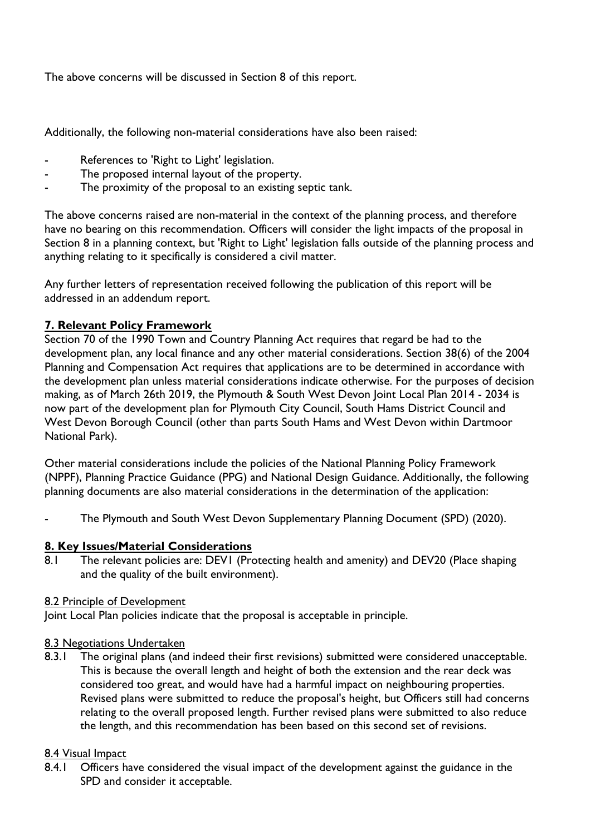The above concerns will be discussed in Section 8 of this report.

Additionally, the following non-material considerations have also been raised:

- References to 'Right to Light' legislation.
- The proposed internal layout of the property.
- The proximity of the proposal to an existing septic tank.

The above concerns raised are non-material in the context of the planning process, and therefore have no bearing on this recommendation. Officers will consider the light impacts of the proposal in Section 8 in a planning context, but 'Right to Light' legislation falls outside of the planning process and anything relating to it specifically is considered a civil matter.

Any further letters of representation received following the publication of this report will be addressed in an addendum report.

#### **7. Relevant Policy Framework**

Section 70 of the 1990 Town and Country Planning Act requires that regard be had to the development plan, any local finance and any other material considerations. Section 38(6) of the 2004 Planning and Compensation Act requires that applications are to be determined in accordance with the development plan unless material considerations indicate otherwise. For the purposes of decision making, as of March 26th 2019, the Plymouth & South West Devon Joint Local Plan 2014 - 2034 is now part of the development plan for Plymouth City Council, South Hams District Council and West Devon Borough Council (other than parts South Hams and West Devon within Dartmoor National Park).

Other material considerations include the policies of the National Planning Policy Framework (NPPF), Planning Practice Guidance (PPG) and National Design Guidance. Additionally, the following planning documents are also material considerations in the determination of the application:

The Plymouth and South West Devon Supplementary Planning Document (SPD) (2020).

#### **8. Key Issues/Material Considerations**

8.1 The relevant policies are: DEV1 (Protecting health and amenity) and DEV20 (Place shaping and the quality of the built environment).

#### 8.2 Principle of Development

Joint Local Plan policies indicate that the proposal is acceptable in principle.

#### 8.3 Negotiations Undertaken

8.3.1 The original plans (and indeed their first revisions) submitted were considered unacceptable. This is because the overall length and height of both the extension and the rear deck was considered too great, and would have had a harmful impact on neighbouring properties. Revised plans were submitted to reduce the proposal's height, but Officers still had concerns relating to the overall proposed length. Further revised plans were submitted to also reduce the length, and this recommendation has been based on this second set of revisions.

#### 8.4 Visual Impact

8.4.1 Officers have considered the visual impact of the development against the guidance in the SPD and consider it acceptable.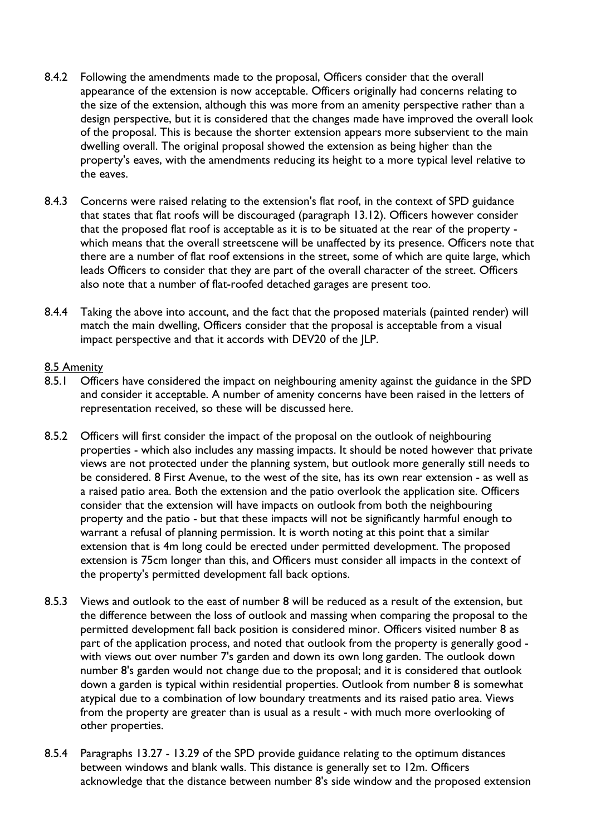- 8.4.2 Following the amendments made to the proposal, Officers consider that the overall appearance of the extension is now acceptable. Officers originally had concerns relating to the size of the extension, although this was more from an amenity perspective rather than a design perspective, but it is considered that the changes made have improved the overall look of the proposal. This is because the shorter extension appears more subservient to the main dwelling overall. The original proposal showed the extension as being higher than the property's eaves, with the amendments reducing its height to a more typical level relative to the eaves.
- 8.4.3 Concerns were raised relating to the extension's flat roof, in the context of SPD guidance that states that flat roofs will be discouraged (paragraph 13.12). Officers however consider that the proposed flat roof is acceptable as it is to be situated at the rear of the property which means that the overall streetscene will be unaffected by its presence. Officers note that there are a number of flat roof extensions in the street, some of which are quite large, which leads Officers to consider that they are part of the overall character of the street. Officers also note that a number of flat-roofed detached garages are present too.
- 8.4.4 Taking the above into account, and the fact that the proposed materials (painted render) will match the main dwelling, Officers consider that the proposal is acceptable from a visual impact perspective and that it accords with DEV20 of the JLP.

#### 8.5 Amenity

- 8.5.1 Officers have considered the impact on neighbouring amenity against the guidance in the SPD and consider it acceptable. A number of amenity concerns have been raised in the letters of representation received, so these will be discussed here.
- 8.5.2 Officers will first consider the impact of the proposal on the outlook of neighbouring properties - which also includes any massing impacts. It should be noted however that private views are not protected under the planning system, but outlook more generally still needs to be considered. 8 First Avenue, to the west of the site, has its own rear extension - as well as a raised patio area. Both the extension and the patio overlook the application site. Officers consider that the extension will have impacts on outlook from both the neighbouring property and the patio - but that these impacts will not be significantly harmful enough to warrant a refusal of planning permission. It is worth noting at this point that a similar extension that is 4m long could be erected under permitted development. The proposed extension is 75cm longer than this, and Officers must consider all impacts in the context of the property's permitted development fall back options.
- 8.5.3 Views and outlook to the east of number 8 will be reduced as a result of the extension, but the difference between the loss of outlook and massing when comparing the proposal to the permitted development fall back position is considered minor. Officers visited number 8 as part of the application process, and noted that outlook from the property is generally good with views out over number 7's garden and down its own long garden. The outlook down number 8's garden would not change due to the proposal; and it is considered that outlook down a garden is typical within residential properties. Outlook from number 8 is somewhat atypical due to a combination of low boundary treatments and its raised patio area. Views from the property are greater than is usual as a result - with much more overlooking of other properties.
- 8.5.4 Paragraphs 13.27 13.29 of the SPD provide guidance relating to the optimum distances between windows and blank walls. This distance is generally set to 12m. Officers acknowledge that the distance between number 8's side window and the proposed extension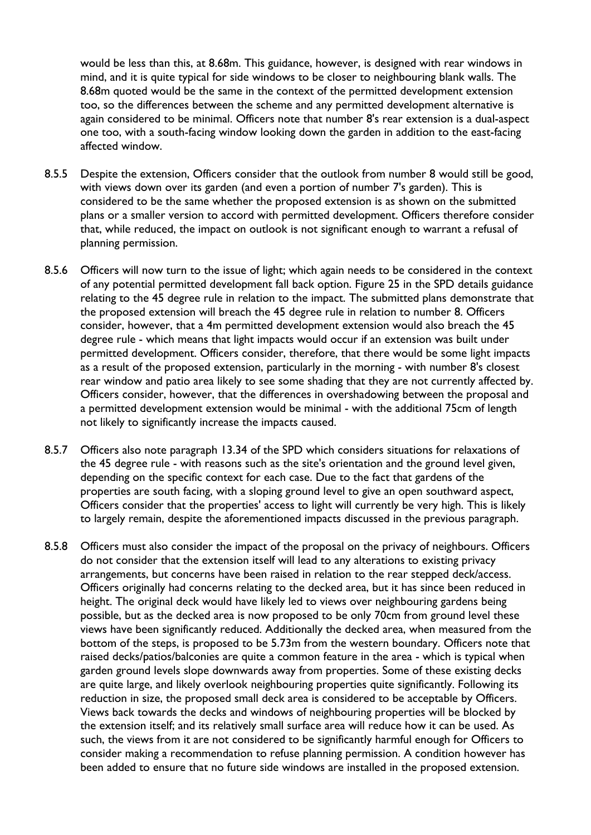would be less than this, at 8.68m. This guidance, however, is designed with rear windows in mind, and it is quite typical for side windows to be closer to neighbouring blank walls. The 8.68m quoted would be the same in the context of the permitted development extension too, so the differences between the scheme and any permitted development alternative is again considered to be minimal. Officers note that number 8's rear extension is a dual-aspect one too, with a south-facing window looking down the garden in addition to the east-facing affected window.

- 8.5.5 Despite the extension, Officers consider that the outlook from number 8 would still be good, with views down over its garden (and even a portion of number 7's garden). This is considered to be the same whether the proposed extension is as shown on the submitted plans or a smaller version to accord with permitted development. Officers therefore consider that, while reduced, the impact on outlook is not significant enough to warrant a refusal of planning permission.
- 8.5.6 Officers will now turn to the issue of light; which again needs to be considered in the context of any potential permitted development fall back option. Figure 25 in the SPD details guidance relating to the 45 degree rule in relation to the impact. The submitted plans demonstrate that the proposed extension will breach the 45 degree rule in relation to number 8. Officers consider, however, that a 4m permitted development extension would also breach the 45 degree rule - which means that light impacts would occur if an extension was built under permitted development. Officers consider, therefore, that there would be some light impacts as a result of the proposed extension, particularly in the morning - with number 8's closest rear window and patio area likely to see some shading that they are not currently affected by. Officers consider, however, that the differences in overshadowing between the proposal and a permitted development extension would be minimal - with the additional 75cm of length not likely to significantly increase the impacts caused.
- 8.5.7 Officers also note paragraph 13.34 of the SPD which considers situations for relaxations of the 45 degree rule - with reasons such as the site's orientation and the ground level given, depending on the specific context for each case. Due to the fact that gardens of the properties are south facing, with a sloping ground level to give an open southward aspect, Officers consider that the properties' access to light will currently be very high. This is likely to largely remain, despite the aforementioned impacts discussed in the previous paragraph.
- 8.5.8 Officers must also consider the impact of the proposal on the privacy of neighbours. Officers do not consider that the extension itself will lead to any alterations to existing privacy arrangements, but concerns have been raised in relation to the rear stepped deck/access. Officers originally had concerns relating to the decked area, but it has since been reduced in height. The original deck would have likely led to views over neighbouring gardens being possible, but as the decked area is now proposed to be only 70cm from ground level these views have been significantly reduced. Additionally the decked area, when measured from the bottom of the steps, is proposed to be 5.73m from the western boundary. Officers note that raised decks/patios/balconies are quite a common feature in the area - which is typical when garden ground levels slope downwards away from properties. Some of these existing decks are quite large, and likely overlook neighbouring properties quite significantly. Following its reduction in size, the proposed small deck area is considered to be acceptable by Officers. Views back towards the decks and windows of neighbouring properties will be blocked by the extension itself; and its relatively small surface area will reduce how it can be used. As such, the views from it are not considered to be significantly harmful enough for Officers to consider making a recommendation to refuse planning permission. A condition however has been added to ensure that no future side windows are installed in the proposed extension.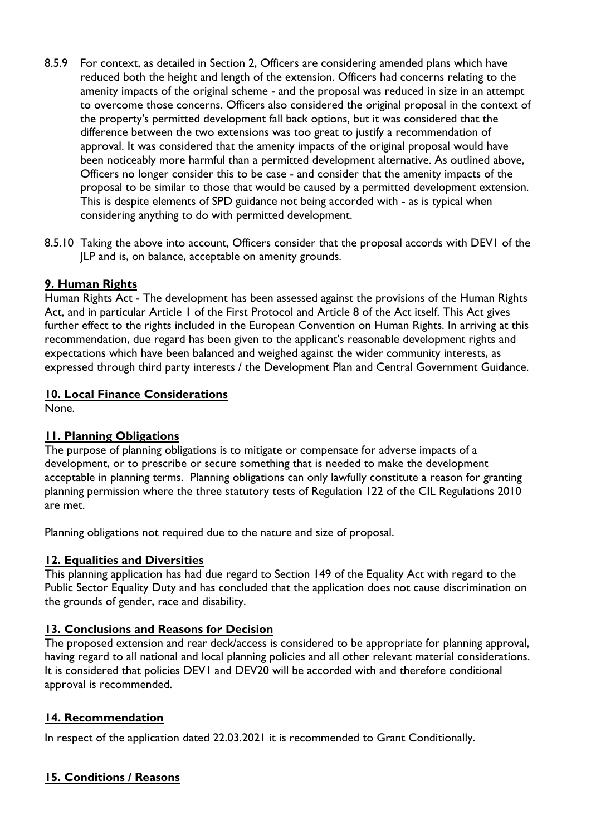- 8.5.9 For context, as detailed in Section 2, Officers are considering amended plans which have reduced both the height and length of the extension. Officers had concerns relating to the amenity impacts of the original scheme - and the proposal was reduced in size in an attempt to overcome those concerns. Officers also considered the original proposal in the context of the property's permitted development fall back options, but it was considered that the difference between the two extensions was too great to justify a recommendation of approval. It was considered that the amenity impacts of the original proposal would have been noticeably more harmful than a permitted development alternative. As outlined above, Officers no longer consider this to be case - and consider that the amenity impacts of the proposal to be similar to those that would be caused by a permitted development extension. This is despite elements of SPD guidance not being accorded with - as is typical when considering anything to do with permitted development.
- 8.5.10 Taking the above into account, Officers consider that the proposal accords with DEV1 of the JLP and is, on balance, acceptable on amenity grounds.

## **9. Human Rights**

Human Rights Act - The development has been assessed against the provisions of the Human Rights Act, and in particular Article 1 of the First Protocol and Article 8 of the Act itself. This Act gives further effect to the rights included in the European Convention on Human Rights. In arriving at this recommendation, due regard has been given to the applicant's reasonable development rights and expectations which have been balanced and weighed against the wider community interests, as expressed through third party interests / the Development Plan and Central Government Guidance.

#### **10. Local Finance Considerations**

None.

## **11. Planning Obligations**

The purpose of planning obligations is to mitigate or compensate for adverse impacts of a development, or to prescribe or secure something that is needed to make the development acceptable in planning terms. Planning obligations can only lawfully constitute a reason for granting planning permission where the three statutory tests of Regulation 122 of the CIL Regulations 2010 are met.

Planning obligations not required due to the nature and size of proposal.

#### **12. Equalities and Diversities**

This planning application has had due regard to Section 149 of the Equality Act with regard to the Public Sector Equality Duty and has concluded that the application does not cause discrimination on the grounds of gender, race and disability.

## **13. Conclusions and Reasons for Decision**

The proposed extension and rear deck/access is considered to be appropriate for planning approval, having regard to all national and local planning policies and all other relevant material considerations. It is considered that policies DEV1 and DEV20 will be accorded with and therefore conditional approval is recommended.

## **14. Recommendation**

In respect of the application dated 22.03.2021 it is recommended to Grant Conditionally.

## **15. Conditions / Reasons**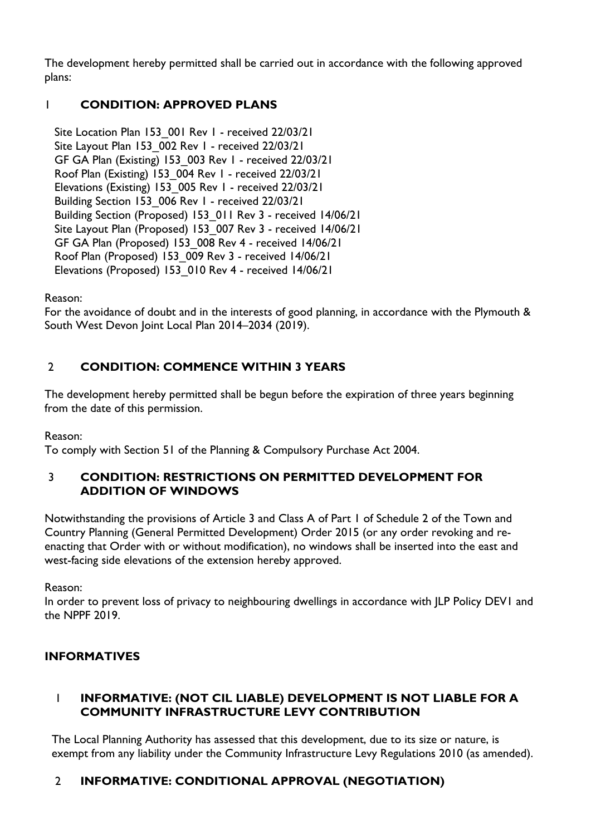The development hereby permitted shall be carried out in accordance with the following approved plans:

## 1 **CONDITION: APPROVED PLANS**

Site Location Plan 153 001 Rev 1 - received 22/03/21 Site Layout Plan 153 002 Rev 1 - received 22/03/21 GF GA Plan (Existing) 153\_003 Rev 1 - received 22/03/21 Roof Plan (Existing) 153\_004 Rev 1 - received 22/03/21 Elevations (Existing) 153\_005 Rev 1 - received 22/03/21 Building Section 153 006 Rev 1 - received 22/03/21 Building Section (Proposed) 153\_011 Rev 3 - received 14/06/21 Site Layout Plan (Proposed) 153\_007 Rev 3 - received 14/06/21 GF GA Plan (Proposed) 153\_008 Rev 4 - received 14/06/21 Roof Plan (Proposed) 153\_009 Rev 3 - received 14/06/21 Elevations (Proposed) 153\_010 Rev 4 - received 14/06/21

Reason:

For the avoidance of doubt and in the interests of good planning, in accordance with the Plymouth & South West Devon Joint Local Plan 2014–2034 (2019).

## 2 **CONDITION: COMMENCE WITHIN 3 YEARS**

The development hereby permitted shall be begun before the expiration of three years beginning from the date of this permission.

Reason:

To comply with Section 51 of the Planning & Compulsory Purchase Act 2004.

## 3 **CONDITION: RESTRICTIONS ON PERMITTED DEVELOPMENT FOR ADDITION OF WINDOWS**

Notwithstanding the provisions of Article 3 and Class A of Part 1 of Schedule 2 of the Town and Country Planning (General Permitted Development) Order 2015 (or any order revoking and reenacting that Order with or without modification), no windows shall be inserted into the east and west-facing side elevations of the extension hereby approved.

Reason:

In order to prevent loss of privacy to neighbouring dwellings in accordance with JLP Policy DEV1 and the NPPF 2019.

# **INFORMATIVES**

## 1 **INFORMATIVE: (NOT CIL LIABLE) DEVELOPMENT IS NOT LIABLE FOR A COMMUNITY INFRASTRUCTURE LEVY CONTRIBUTION**

The Local Planning Authority has assessed that this development, due to its size or nature, is exempt from any liability under the Community Infrastructure Levy Regulations 2010 (as amended).

# 2 **INFORMATIVE: CONDITIONAL APPROVAL (NEGOTIATION)**